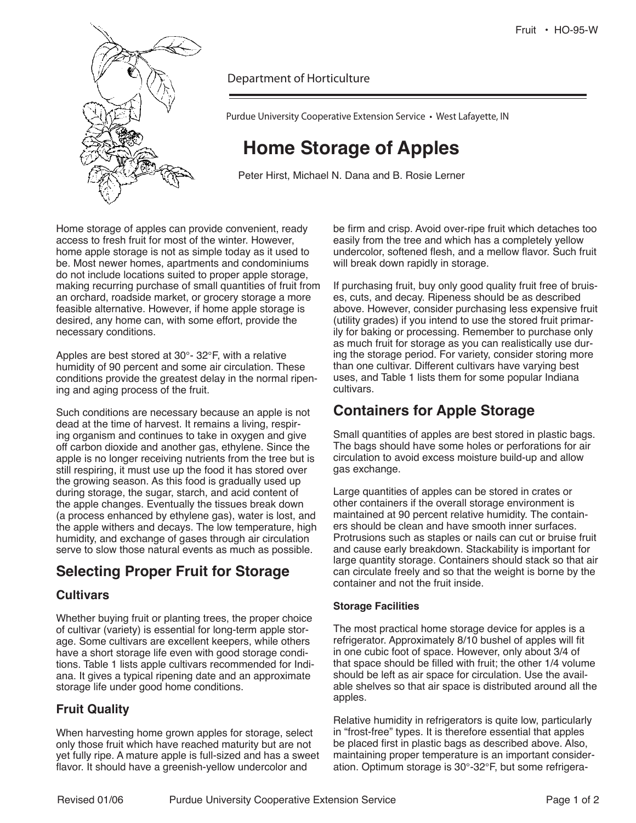

Department of Horticulture

Purdue University Cooperative Extension Service • West Lafayette, IN

# **Home Storage of Apples**

Peter Hirst, Michael N. Dana and B. Rosie Lerner

Home storage of apples can provide convenient, ready access to fresh fruit for most of the winter. However, home apple storage is not as simple today as it used to be. Most newer homes, apartments and condominiums do not include locations suited to proper apple storage, making recurring purchase of small quantities of fruit from an orchard, roadside market, or grocery storage a more feasible alternative. However, if home apple storage is desired, any home can, with some effort, provide the necessary conditions.

Apples are best stored at 30°- 32°F, with a relative humidity of 90 percent and some air circulation. These conditions provide the greatest delay in the normal ripening and aging process of the fruit.

Such conditions are necessary because an apple is not dead at the time of harvest. It remains a living, respiring organism and continues to take in oxygen and give off carbon dioxide and another gas, ethylene. Since the apple is no longer receiving nutrients from the tree but is still respiring, it must use up the food it has stored over the growing season. As this food is gradually used up during storage, the sugar, starch, and acid content of the apple changes. Eventually the tissues break down (a process enhanced by ethylene gas), water is lost, and the apple withers and decays. The low temperature, high humidity, and exchange of gases through air circulation serve to slow those natural events as much as possible.

## **Selecting Proper Fruit for Storage**

### **Cultivars**

Whether buying fruit or planting trees, the proper choice of cultivar (variety) is essential for long-term apple storage. Some cultivars are excellent keepers, while others have a short storage life even with good storage conditions. Table 1 lists apple cultivars recommended for Indiana. It gives a typical ripening date and an approximate storage life under good home conditions.

## **Fruit Quality**

When harvesting home grown apples for storage, select only those fruit which have reached maturity but are not yet fully ripe. A mature apple is full-sized and has a sweet flavor. It should have a greenish-yellow undercolor and

be firm and crisp. Avoid over-ripe fruit which detaches too easily from the tree and which has a completely yellow undercolor, softened flesh, and a mellow flavor. Such fruit will break down rapidly in storage.

If purchasing fruit, buy only good quality fruit free of bruises, cuts, and decay. Ripeness should be as described above. However, consider purchasing less expensive fruit (utility grades) if you intend to use the stored fruit primarily for baking or processing. Remember to purchase only as much fruit for storage as you can realistically use during the storage period. For variety, consider storing more than one cultivar. Different cultivars have varying best uses, and Table 1 lists them for some popular Indiana cultivars.

## **Containers for Apple Storage**

Small quantities of apples are best stored in plastic bags. The bags should have some holes or perforations for air circulation to avoid excess moisture build-up and allow gas exchange.

Large quantities of apples can be stored in crates or other containers if the overall storage environment is maintained at 90 percent relative humidity. The containers should be clean and have smooth inner surfaces. Protrusions such as staples or nails can cut or bruise fruit and cause early breakdown. Stackability is important for large quantity storage. Containers should stack so that air can circulate freely and so that the weight is borne by the container and not the fruit inside.

### **Storage Facilities**

The most practical home storage device for apples is a refrigerator. Approximately 8/10 bushel of apples will fit in one cubic foot of space. However, only about 3/4 of that space should be filled with fruit; the other 1/4 volume should be left as air space for circulation. Use the available shelves so that air space is distributed around all the apples.

Relative humidity in refrigerators is quite low, particularly in "frost-free" types. It is therefore essential that apples be placed first in plastic bags as described above. Also, maintaining proper temperature is an important consideration. Optimum storage is 30°-32°F, but some refrigera-